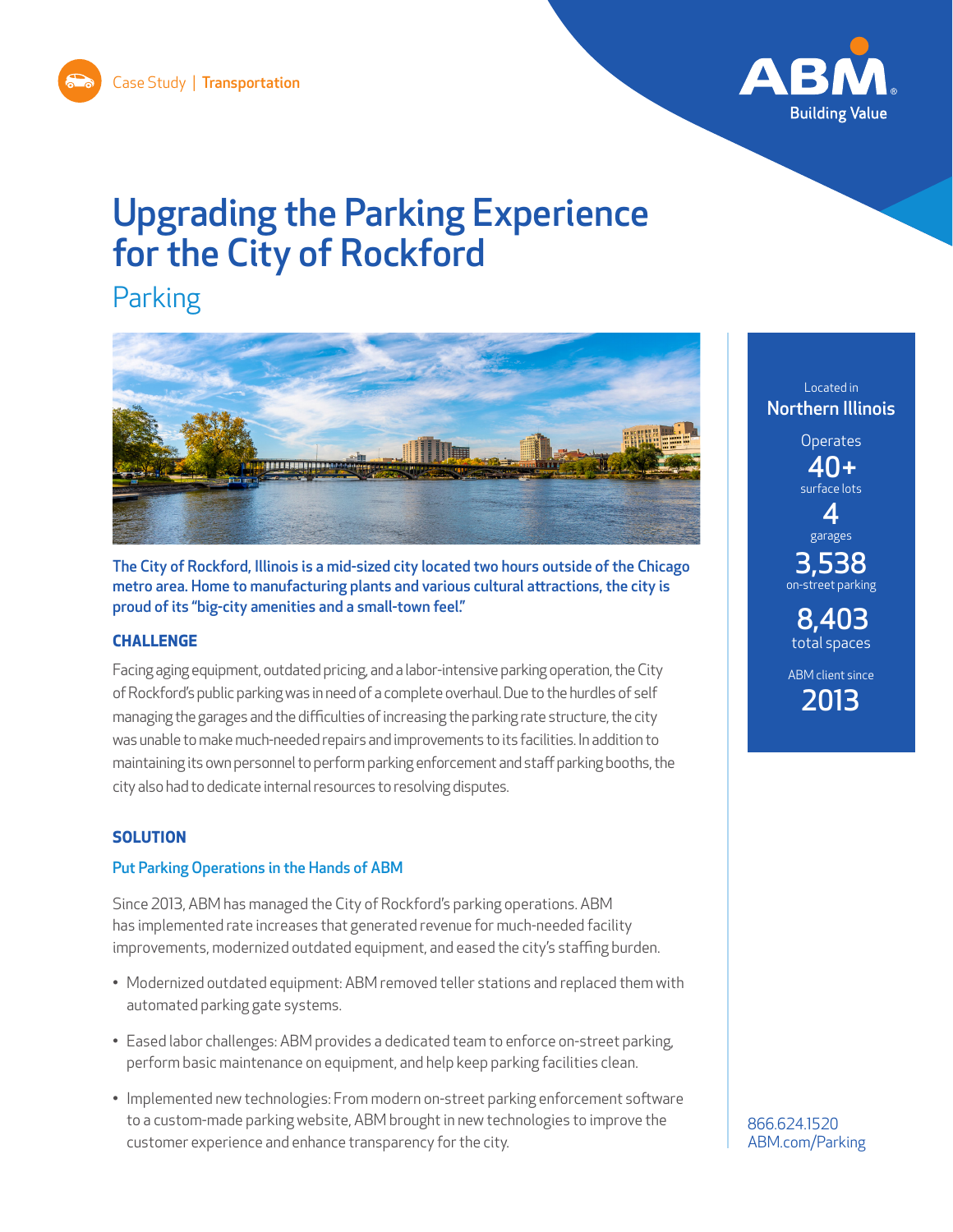

# Upgrading the Parking Experience for the City of Rockford

# Parking



The City of Rockford, Illinois is a mid-sized city located two hours outside of the Chicago metro area. Home to manufacturing plants and various cultural attractions, the city is proud of its "big-city amenities and a small-town feel."

# **CHALLENGE**

Facing aging equipment, outdated pricing, and a labor-intensive parking operation, the City of Rockford's public parking was in need of a complete overhaul. Due to the hurdles of self managing the garages and the difficulties of increasing the parking rate structure, the city was unable to make much-needed repairs and improvements to its facilities. In addition to maintaining its own personnel to perform parking enforcement and staff parking booths, the city also had to dedicate internal resources to resolving disputes.

# **SOLUTION**

# Put Parking Operations in the Hands of ABM

Since 2013, ABM has managed the City of Rockford's parking operations. ABM has implemented rate increases that generated revenue for much-needed facility improvements, modernized outdated equipment, and eased the city's staffing burden.

- Modernized outdated equipment: ABM removed teller stations and replaced them with automated parking gate systems.
- Eased labor challenges: ABM provides a dedicated team to enforce on-street parking, perform basic maintenance on equipment, and help keep parking facilities clean.
- Implemented new technologies: From modern on-street parking enforcement software to a custom-made parking website, ABM brought in new technologies to improve the customer experience and enhance transparency for the city.

Located in Northern Illinois **Operates** 40+ surface lots 4 garages 3,538 on-street parking 8,403 total spaces ABM client since 2013